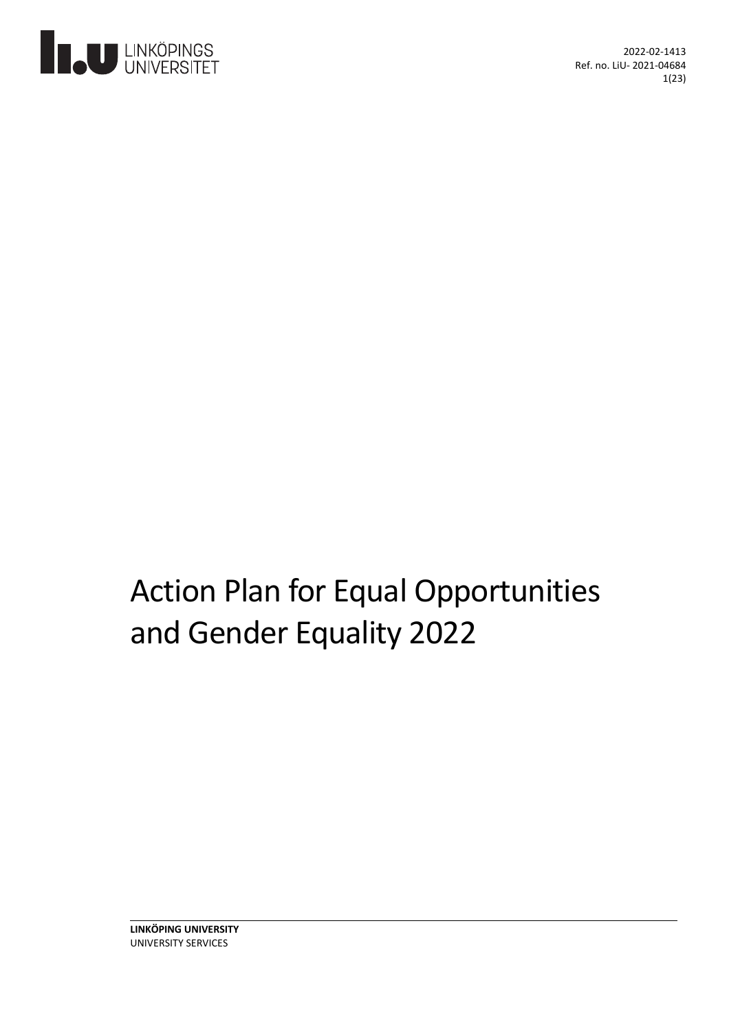

2022-02-1413 Ref. no. LiU- 2021-04684 1(23)

# Action Plan for Equal Opportunities and Gender Equality 2022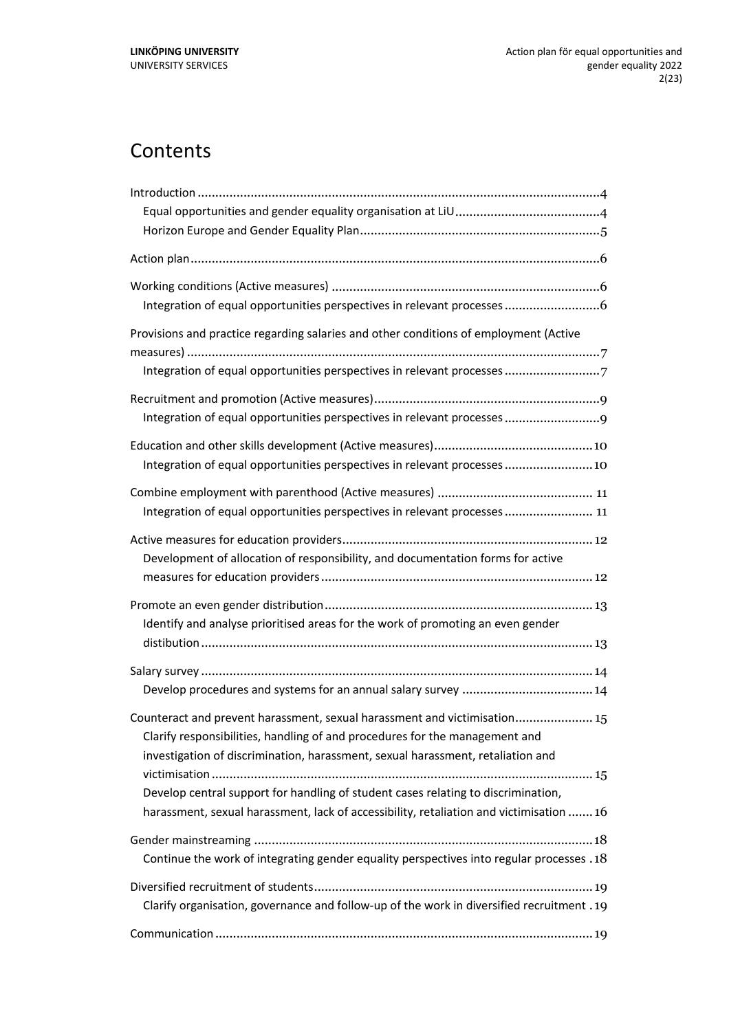# **Contents**

| Integration of equal opportunities perspectives in relevant processes                                                                                                                                                                                                                                                                                                                                                       |  |
|-----------------------------------------------------------------------------------------------------------------------------------------------------------------------------------------------------------------------------------------------------------------------------------------------------------------------------------------------------------------------------------------------------------------------------|--|
| Provisions and practice regarding salaries and other conditions of employment (Active<br>Integration of equal opportunities perspectives in relevant processes 7                                                                                                                                                                                                                                                            |  |
| Integration of equal opportunities perspectives in relevant processes                                                                                                                                                                                                                                                                                                                                                       |  |
| Integration of equal opportunities perspectives in relevant processes  10                                                                                                                                                                                                                                                                                                                                                   |  |
| Integration of equal opportunities perspectives in relevant processes  11                                                                                                                                                                                                                                                                                                                                                   |  |
| Development of allocation of responsibility, and documentation forms for active                                                                                                                                                                                                                                                                                                                                             |  |
| Identify and analyse prioritised areas for the work of promoting an even gender                                                                                                                                                                                                                                                                                                                                             |  |
|                                                                                                                                                                                                                                                                                                                                                                                                                             |  |
| Counteract and prevent harassment, sexual harassment and victimisation 15<br>Clarify responsibilities, handling of and procedures for the management and<br>investigation of discrimination, harassment, sexual harassment, retaliation and<br>Develop central support for handling of student cases relating to discrimination,<br>harassment, sexual harassment, lack of accessibility, retaliation and victimisation  16 |  |
| Continue the work of integrating gender equality perspectives into regular processes . 18                                                                                                                                                                                                                                                                                                                                   |  |
| Clarify organisation, governance and follow-up of the work in diversified recruitment . 19                                                                                                                                                                                                                                                                                                                                  |  |
|                                                                                                                                                                                                                                                                                                                                                                                                                             |  |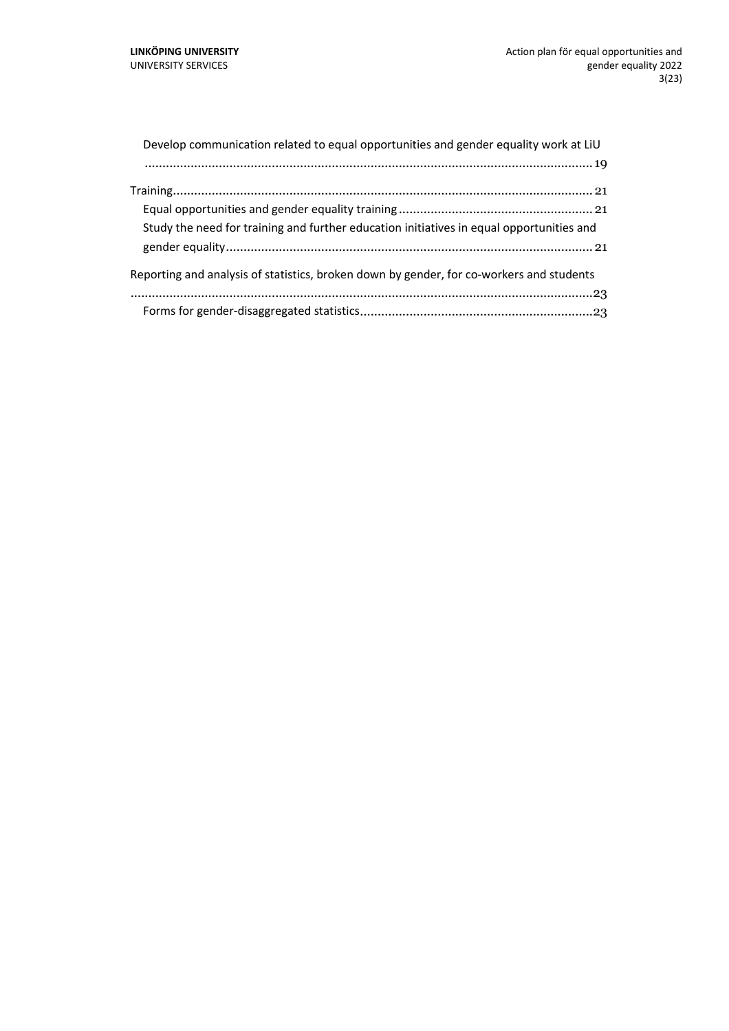| Develop communication related to equal opportunities and gender equality work at LiU     |
|------------------------------------------------------------------------------------------|
|                                                                                          |
|                                                                                          |
|                                                                                          |
| Study the need for training and further education initiatives in equal opportunities and |
|                                                                                          |
| Reporting and analysis of statistics, broken down by gender, for co-workers and students |
|                                                                                          |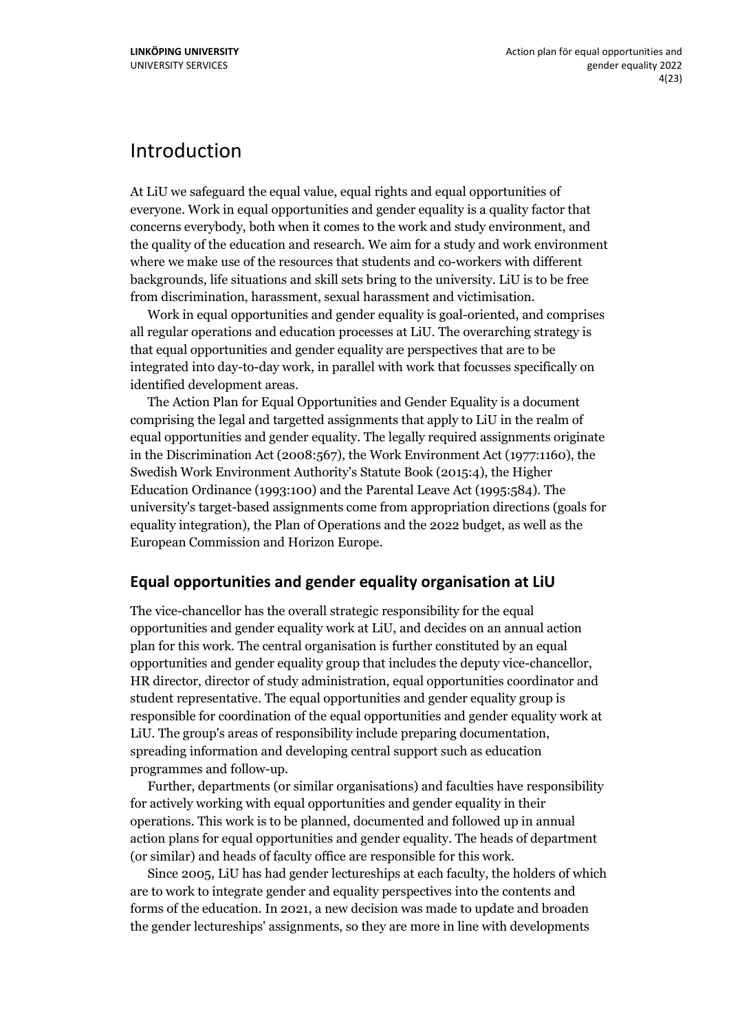### <span id="page-3-0"></span>Introduction

At LiU we safeguard the equal value, equal rights and equal opportunities of everyone. Work in equal opportunities and gender equality is a quality factor that concerns everybody, both when it comes to the work and study environment, and the quality of the education and research. We aim for a study and work environment where we make use of the resources that students and co-workers with different backgrounds, life situations and skill sets bring to the university. LiU is to be free from discrimination, harassment, sexual harassment and victimisation.

Work in equal opportunities and gender equality is goal-oriented, and comprises all regular operations and education processes at LiU. The overarching strategy is that equal opportunities and gender equality are perspectives that are to be integrated into day-to-day work, in parallel with work that focusses specifically on identified development areas.

The Action Plan for Equal Opportunities and Gender Equality is a document comprising the legal and targetted assignments that apply to LiU in the realm of equal opportunities and gender equality. The legally required assignments originate in the Discrimination Act (2008:567), the Work Environment Act (1977:1160), the Swedish Work Environment Authority's Statute Book (2015:4), the Higher Education Ordinance (1993:100) and the Parental Leave Act (1995:584). The university's target-based assignments come from appropriation directions (goals for equality integration), the Plan of Operations and the 2022 budget, as well as the European Commission and Horizon Europe.

#### <span id="page-3-1"></span>**Equal opportunities and gender equality organisation at LiU**

The vice-chancellor has the overall strategic responsibility for the equal opportunities and gender equality work at LiU, and decides on an annual action plan for this work. The central organisation is further constituted by an equal opportunities and gender equality group that includes the deputy vice-chancellor, HR director, director of study administration, equal opportunities coordinator and student representative. The equal opportunities and gender equality group is responsible for coordination of the equal opportunities and gender equality work at LiU. The group's areas of responsibility include preparing documentation, spreading information and developing central support such as education programmes and follow-up.

Further, departments (or similar organisations) and faculties have responsibility for actively working with equal opportunities and gender equality in their operations. This work is to be planned, documented and followed up in annual action plans for equal opportunities and gender equality. The heads of department (or similar) and heads of faculty office are responsible for this work.

Since 2005, LiU has had gender lectureships at each faculty, the holders of which are to work to integrate gender and equality perspectives into the contents and forms of the education. In 2021, a new decision was made to update and broaden the gender lectureships' assignments, so they are more in line with developments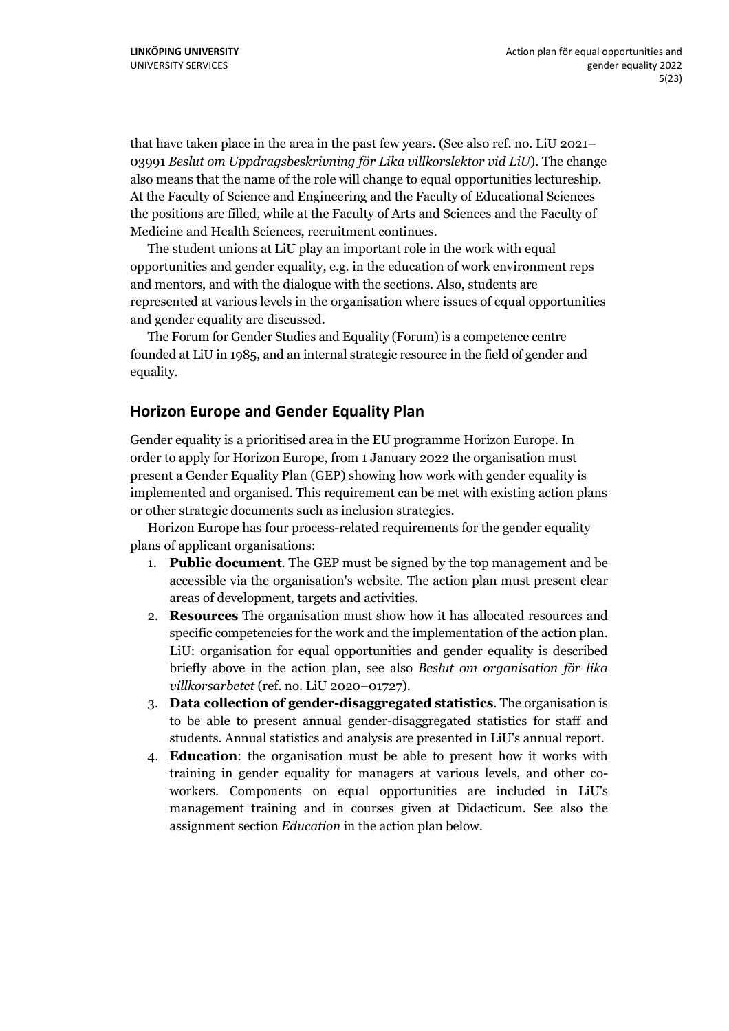that have taken place in the area in the past few years. (See also ref. no. LiU 2021– 03991 *Beslut om Uppdragsbeskrivning för Lika villkorslektor vid LiU*). The change also means that the name of the role will change to equal opportunities lectureship. At the Faculty of Science and Engineering and the Faculty of Educational Sciences the positions are filled, while at the Faculty of Arts and Sciences and the Faculty of Medicine and Health Sciences, recruitment continues.

The student unions at LiU play an important role in the work with equal opportunities and gender equality, e.g. in the education of work environment reps and mentors, and with the dialogue with the sections. Also, students are represented at various levels in the organisation where issues of equal opportunities and gender equality are discussed.

The Forum for Gender Studies and Equality (Forum) is a competence centre founded at LiU in 1985, and an internal strategic resource in the field of gender and equality.

#### <span id="page-4-0"></span>**Horizon Europe and Gender Equality Plan**

Gender equality is a prioritised area in the EU programme Horizon Europe. In order to apply for Horizon Europe, from 1 January 2022 the organisation must present a Gender Equality Plan (GEP) showing how work with gender equality is implemented and organised. This requirement can be met with existing action plans or other strategic documents such as inclusion strategies.

Horizon Europe has four process-related requirements for the gender equality plans of applicant organisations:

- 1. **Public document**. The GEP must be signed by the top management and be accessible via the organisation's website. The action plan must present clear areas of development, targets and activities.
- 2. **Resources** The organisation must show how it has allocated resources and specific competencies for the work and the implementation of the action plan. LiU: organisation for equal opportunities and gender equality is described briefly above in the action plan, see also *Beslut om organisation för lika villkorsarbetet* (ref. no. LiU 2020–01727).
- 3. **Data collection of gender-disaggregated statistics**. The organisation is to be able to present annual gender-disaggregated statistics for staff and students. Annual statistics and analysis are presented in LiU's annual report.
- 4. **Education**: the organisation must be able to present how it works with training in gender equality for managers at various levels, and other coworkers. Components on equal opportunities are included in LiU's management training and in courses given at Didacticum. See also the assignment section *Education* in the action plan below.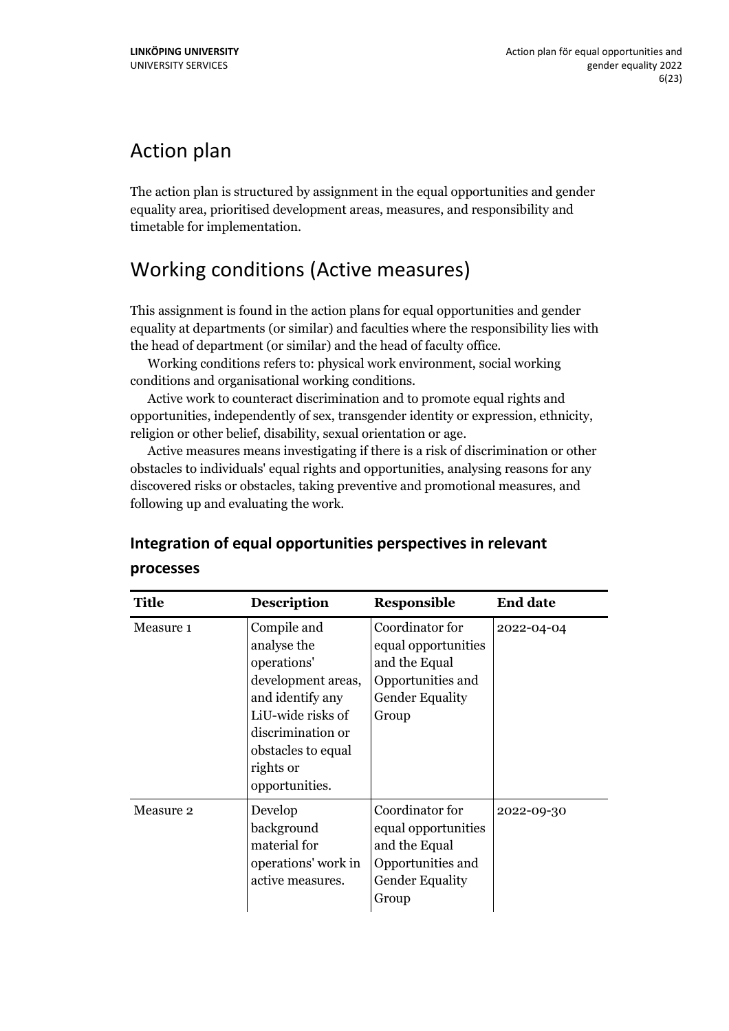# <span id="page-5-0"></span>Action plan

The action plan is structured by assignment in the equal opportunities and gender equality area, prioritised development areas, measures, and responsibility and timetable for implementation.

### <span id="page-5-1"></span>Working conditions (Active measures)

This assignment is found in the action plans for equal opportunities and gender equality at departments (or similar) and faculties where the responsibility lies with the head of department (or similar) and the head of faculty office.

Working conditions refers to: physical work environment, social working conditions and organisational working conditions.

Active work to counteract discrimination and to promote equal rights and opportunities, independently of sex, transgender identity or expression, ethnicity, religion or other belief, disability, sexual orientation or age.

Active measures means investigating if there is a risk of discrimination or other obstacles to individuals' equal rights and opportunities, analysing reasons for any discovered risks or obstacles, taking preventive and promotional measures, and following up and evaluating the work.

#### <span id="page-5-2"></span>**Integration of equal opportunities perspectives in relevant**

| <b>Title</b> | <b>Description</b>                                                                                                                                                                 | <b>Responsible</b>                                                                                              | <b>End date</b> |
|--------------|------------------------------------------------------------------------------------------------------------------------------------------------------------------------------------|-----------------------------------------------------------------------------------------------------------------|-----------------|
| Measure 1    | Compile and<br>analyse the<br>operations'<br>development areas,<br>and identify any<br>LiU-wide risks of<br>discrimination or<br>obstacles to equal<br>rights or<br>opportunities. | Coordinator for<br>equal opportunities<br>and the Equal<br>Opportunities and<br><b>Gender Equality</b><br>Group | 2022-04-04      |
| Measure 2    | Develop<br>background<br>material for<br>operations' work in<br>active measures.                                                                                                   | Coordinator for<br>equal opportunities<br>and the Equal<br>Opportunities and<br><b>Gender Equality</b><br>Group | 2022-09-30      |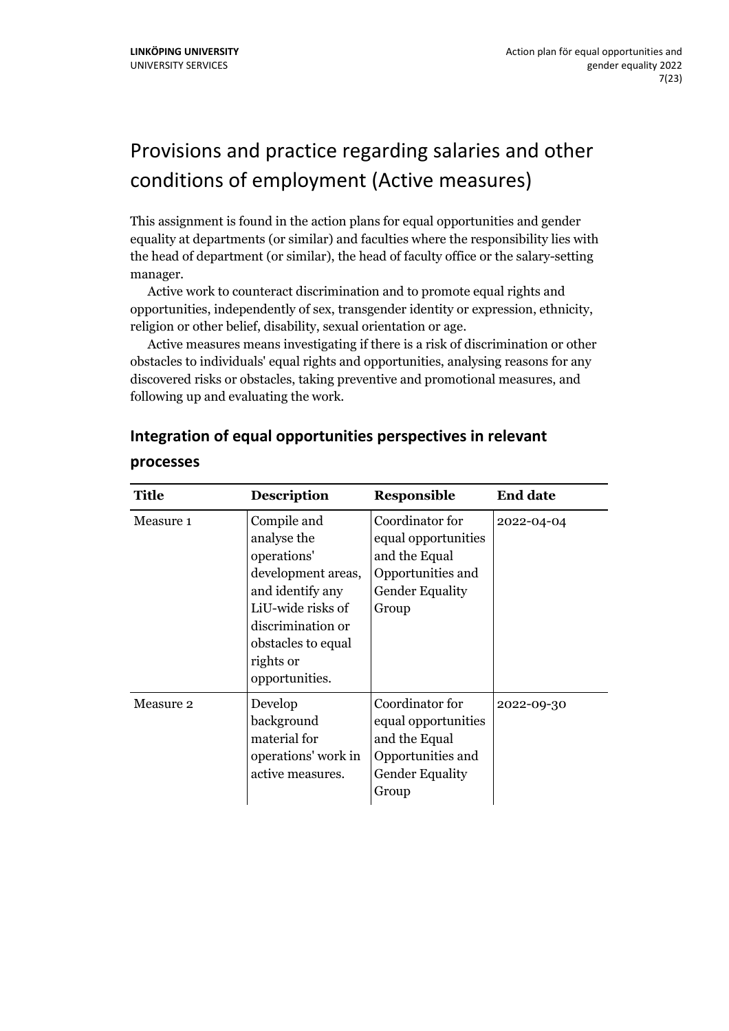# <span id="page-6-0"></span>Provisions and practice regarding salaries and other conditions of employment (Active measures)

This assignment is found in the action plans for equal opportunities and gender equality at departments (or similar) and faculties where the responsibility lies with the head of department (or similar), the head of faculty office or the salary-setting manager.

Active work to counteract discrimination and to promote equal rights and opportunities, independently of sex, transgender identity or expression, ethnicity, religion or other belief, disability, sexual orientation or age.

Active measures means investigating if there is a risk of discrimination or other obstacles to individuals' equal rights and opportunities, analysing reasons for any discovered risks or obstacles, taking preventive and promotional measures, and following up and evaluating the work.

| <b>Title</b> | <b>Description</b>                                                                                                                                                                 | <b>Responsible</b>                                                                                              | <b>End date</b> |
|--------------|------------------------------------------------------------------------------------------------------------------------------------------------------------------------------------|-----------------------------------------------------------------------------------------------------------------|-----------------|
| Measure 1    | Compile and<br>analyse the<br>operations'<br>development areas,<br>and identify any<br>LiU-wide risks of<br>discrimination or<br>obstacles to equal<br>rights or<br>opportunities. | Coordinator for<br>equal opportunities<br>and the Equal<br>Opportunities and<br><b>Gender Equality</b><br>Group | 2022-04-04      |
| Measure 2    | Develop<br>background<br>material for<br>operations' work in<br>active measures.                                                                                                   | Coordinator for<br>equal opportunities<br>and the Equal<br>Opportunities and<br><b>Gender Equality</b><br>Group | 2022-09-30      |

#### <span id="page-6-1"></span>**Integration of equal opportunities perspectives in relevant**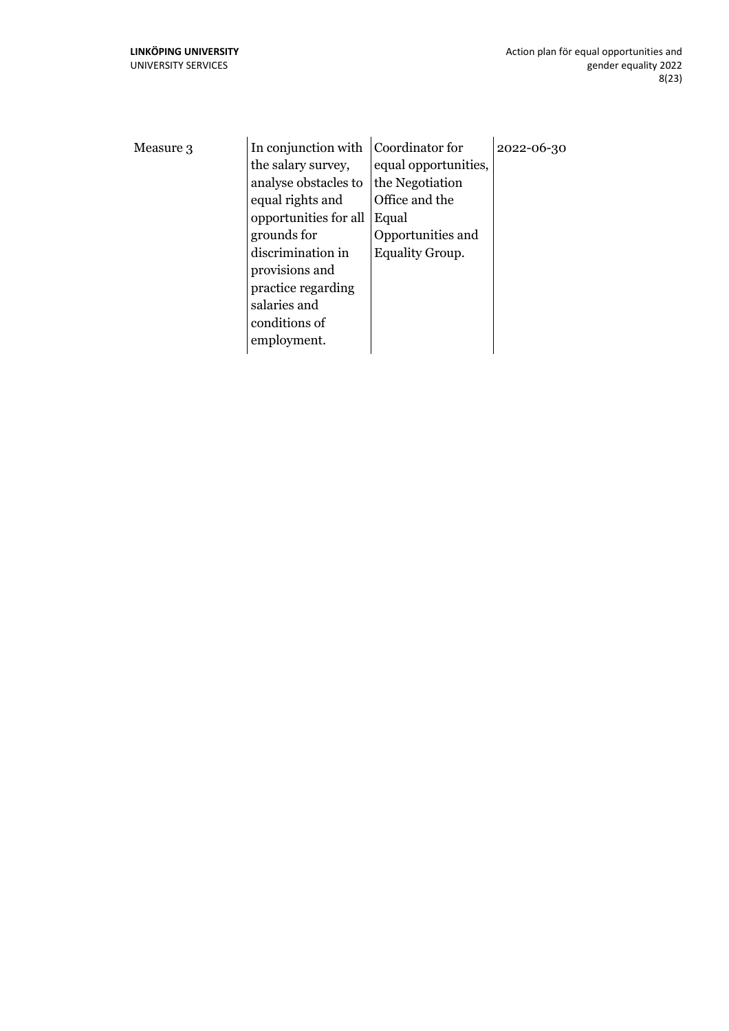| Measure 3 | In conjunction with   | Coordinator for        | 2022-06-30 |
|-----------|-----------------------|------------------------|------------|
|           | the salary survey,    | equal opportunities,   |            |
|           | analyse obstacles to  | the Negotiation        |            |
|           | equal rights and      | Office and the         |            |
|           | opportunities for all | Equal                  |            |
|           | grounds for           | Opportunities and      |            |
|           | discrimination in     | <b>Equality Group.</b> |            |
|           | provisions and        |                        |            |
|           | practice regarding    |                        |            |
|           | salaries and          |                        |            |
|           | conditions of         |                        |            |
|           | employment.           |                        |            |
|           |                       |                        |            |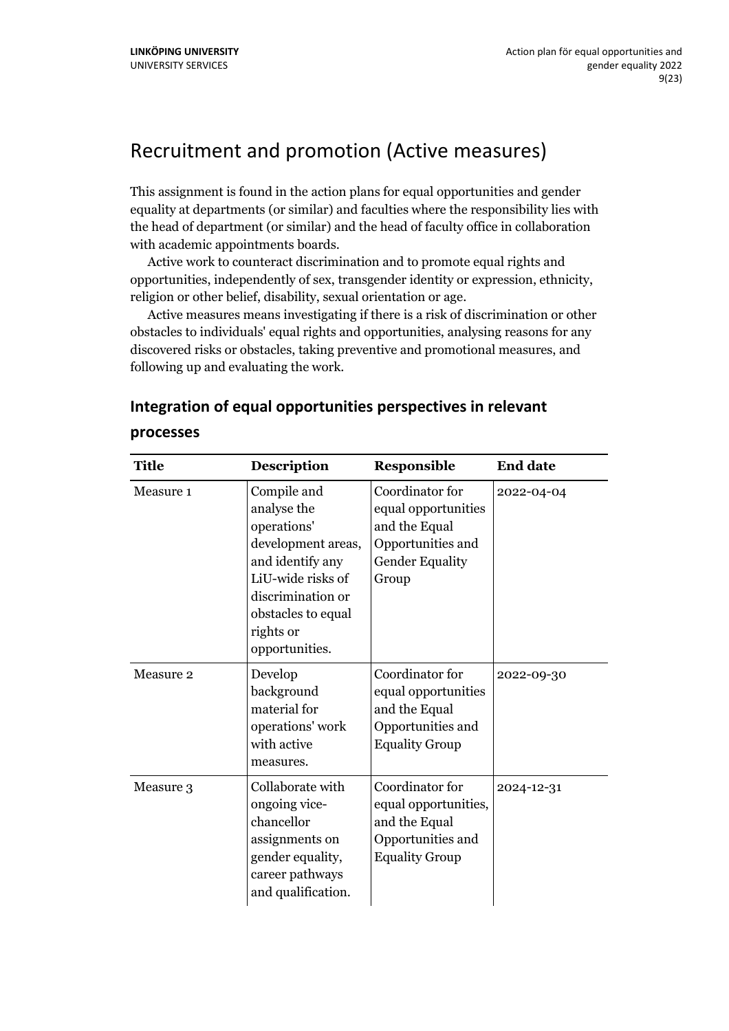### <span id="page-8-0"></span>Recruitment and promotion (Active measures)

This assignment is found in the action plans for equal opportunities and gender equality at departments (or similar) and faculties where the responsibility lies with the head of department (or similar) and the head of faculty office in collaboration with academic appointments boards.

Active work to counteract discrimination and to promote equal rights and opportunities, independently of sex, transgender identity or expression, ethnicity, religion or other belief, disability, sexual orientation or age.

Active measures means investigating if there is a risk of discrimination or other obstacles to individuals' equal rights and opportunities, analysing reasons for any discovered risks or obstacles, taking preventive and promotional measures, and following up and evaluating the work.

| <b>Title</b> | <b>Description</b>                                                                                                                                                                 | Responsible                                                                                                     | <b>End date</b> |
|--------------|------------------------------------------------------------------------------------------------------------------------------------------------------------------------------------|-----------------------------------------------------------------------------------------------------------------|-----------------|
| Measure 1    | Compile and<br>analyse the<br>operations'<br>development areas,<br>and identify any<br>LiU-wide risks of<br>discrimination or<br>obstacles to equal<br>rights or<br>opportunities. | Coordinator for<br>equal opportunities<br>and the Equal<br>Opportunities and<br><b>Gender Equality</b><br>Group | 2022-04-04      |
| Measure 2    | Develop<br>background<br>material for<br>operations' work<br>with active<br>measures.                                                                                              | Coordinator for<br>equal opportunities<br>and the Equal<br>Opportunities and<br><b>Equality Group</b>           | 2022-09-30      |
| Measure 3    | Collaborate with<br>ongoing vice-<br>chancellor<br>assignments on<br>gender equality,<br>career pathways<br>and qualification.                                                     | Coordinator for<br>equal opportunities,<br>and the Equal<br>Opportunities and<br><b>Equality Group</b>          | 2024-12-31      |

#### <span id="page-8-1"></span>**Integration of equal opportunities perspectives in relevant processes**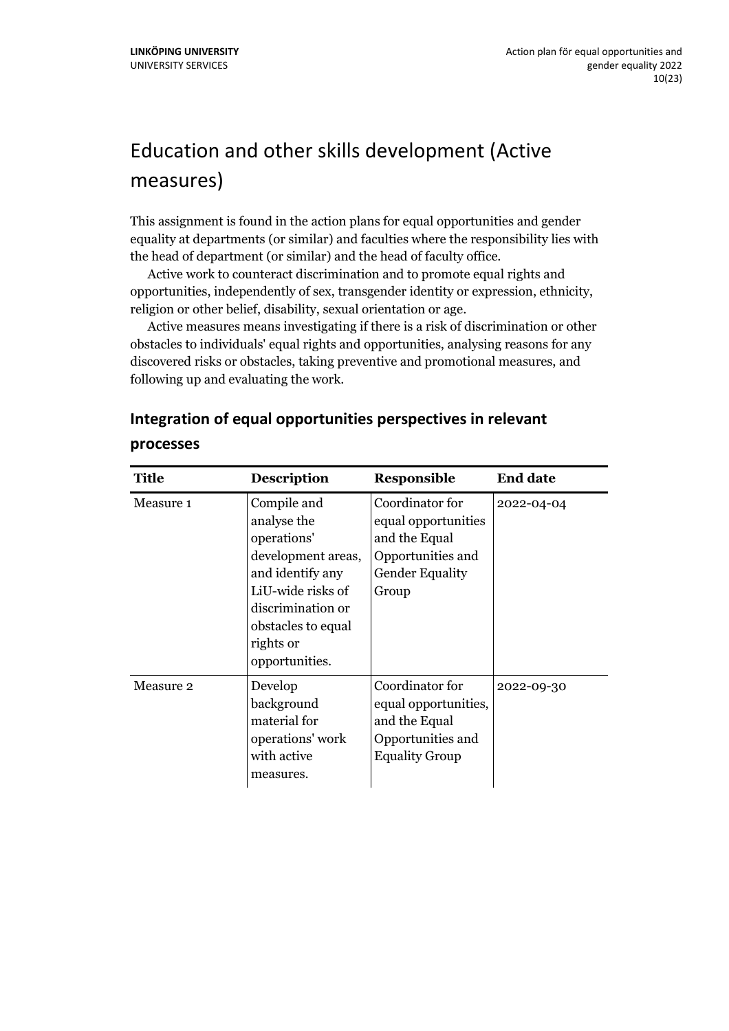# <span id="page-9-0"></span>Education and other skills development (Active measures)

This assignment is found in the action plans for equal opportunities and gender equality at departments (or similar) and faculties where the responsibility lies with the head of department (or similar) and the head of faculty office.

Active work to counteract discrimination and to promote equal rights and opportunities, independently of sex, transgender identity or expression, ethnicity, religion or other belief, disability, sexual orientation or age.

Active measures means investigating if there is a risk of discrimination or other obstacles to individuals' equal rights and opportunities, analysing reasons for any discovered risks or obstacles, taking preventive and promotional measures, and following up and evaluating the work.

#### <span id="page-9-1"></span>**Integration of equal opportunities perspectives in relevant**

| <b>Title</b> | <b>Description</b>                                                                                                                                                                 | <b>Responsible</b>                                                                                              | <b>End date</b> |
|--------------|------------------------------------------------------------------------------------------------------------------------------------------------------------------------------------|-----------------------------------------------------------------------------------------------------------------|-----------------|
| Measure 1    | Compile and<br>analyse the<br>operations'<br>development areas,<br>and identify any<br>LiU-wide risks of<br>discrimination or<br>obstacles to equal<br>rights or<br>opportunities. | Coordinator for<br>equal opportunities<br>and the Equal<br>Opportunities and<br><b>Gender Equality</b><br>Group | 2022-04-04      |
| Measure 2    | Develop<br>background<br>material for<br>operations' work<br>with active<br>measures.                                                                                              | Coordinator for<br>equal opportunities,<br>and the Equal<br>Opportunities and<br><b>Equality Group</b>          | 2022-09-30      |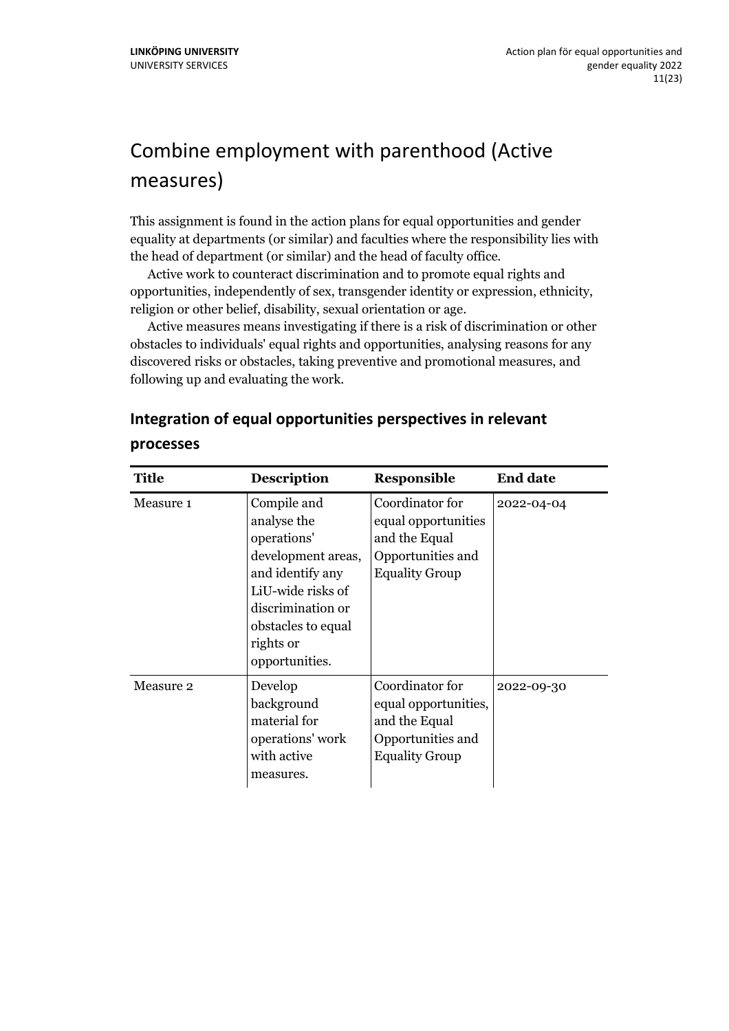# <span id="page-10-0"></span>Combine employment with parenthood (Active measures)

This assignment is found in the action plans for equal opportunities and gender equality at departments (or similar) and faculties where the responsibility lies with the head of department (or similar) and the head of faculty office.

Active work to counteract discrimination and to promote equal rights and opportunities, independently of sex, transgender identity or expression, ethnicity, religion or other belief, disability, sexual orientation or age.

Active measures means investigating if there is a risk of discrimination or other obstacles to individuals' equal rights and opportunities, analysing reasons for any discovered risks or obstacles, taking preventive and promotional measures, and following up and evaluating the work.

#### <span id="page-10-1"></span>**Integration of equal opportunities perspectives in relevant**

| <b>Title</b> | <b>Description</b>                                                                                                                                                                 | Responsible                                                                                            | <b>End date</b> |
|--------------|------------------------------------------------------------------------------------------------------------------------------------------------------------------------------------|--------------------------------------------------------------------------------------------------------|-----------------|
| Measure 1    | Compile and<br>analyse the<br>operations'<br>development areas,<br>and identify any<br>LiU-wide risks of<br>discrimination or<br>obstacles to equal<br>rights or<br>opportunities. | Coordinator for<br>equal opportunities<br>and the Equal<br>Opportunities and<br><b>Equality Group</b>  | 2022-04-04      |
| Measure 2    | Develop<br>background<br>material for<br>operations' work<br>with active<br>measures.                                                                                              | Coordinator for<br>equal opportunities,<br>and the Equal<br>Opportunities and<br><b>Equality Group</b> | 2022-09-30      |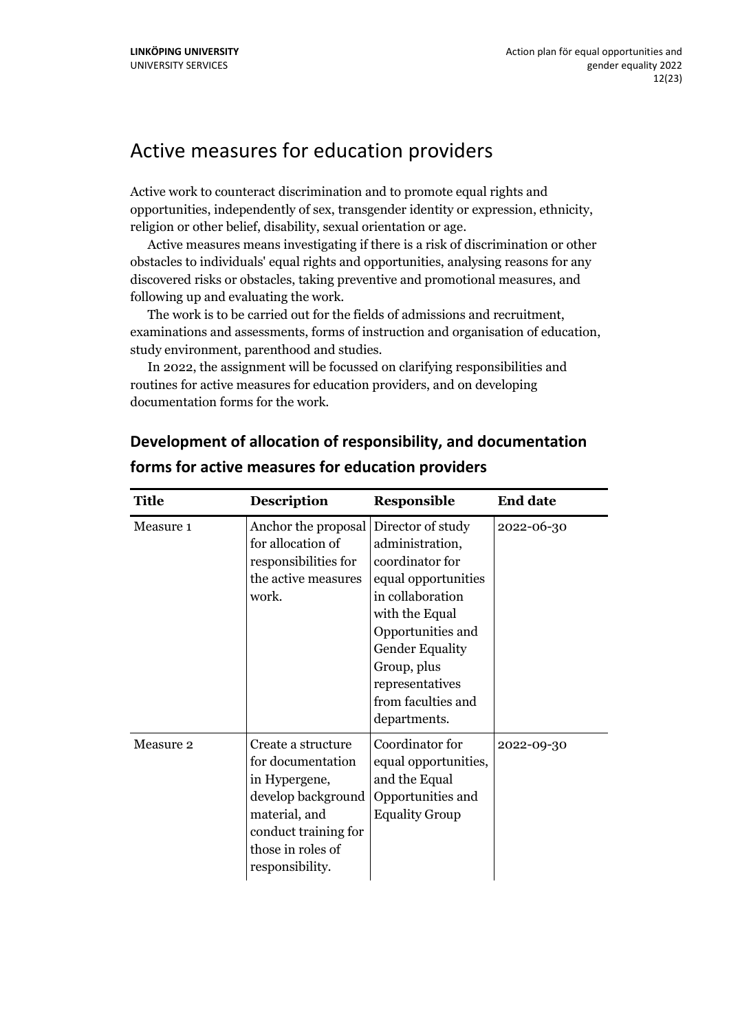### <span id="page-11-0"></span>Active measures for education providers

Active work to counteract discrimination and to promote equal rights and opportunities, independently of sex, transgender identity or expression, ethnicity, religion or other belief, disability, sexual orientation or age.

Active measures means investigating if there is a risk of discrimination or other obstacles to individuals' equal rights and opportunities, analysing reasons for any discovered risks or obstacles, taking preventive and promotional measures, and following up and evaluating the work.

The work is to be carried out for the fields of admissions and recruitment, examinations and assessments, forms of instruction and organisation of education, study environment, parenthood and studies.

In 2022, the assignment will be focussed on clarifying responsibilities and routines for active measures for education providers, and on developing documentation forms for the work.

| <b>Title</b> | <b>Description</b>                                                                                                                                              | <b>Responsible</b>                                                                                                                                                                                                     | <b>End date</b> |
|--------------|-----------------------------------------------------------------------------------------------------------------------------------------------------------------|------------------------------------------------------------------------------------------------------------------------------------------------------------------------------------------------------------------------|-----------------|
| Measure 1    | Anchor the proposal Director of study<br>for allocation of<br>responsibilities for<br>the active measures<br>work.                                              | administration,<br>coordinator for<br>equal opportunities<br>in collaboration<br>with the Equal<br>Opportunities and<br><b>Gender Equality</b><br>Group, plus<br>representatives<br>from faculties and<br>departments. | 2022-06-30      |
| Measure 2    | Create a structure<br>for documentation<br>in Hypergene,<br>develop background<br>material, and<br>conduct training for<br>those in roles of<br>responsibility. | Coordinator for<br>equal opportunities,<br>and the Equal<br>Opportunities and<br><b>Equality Group</b>                                                                                                                 | 2022-09-30      |

#### <span id="page-11-1"></span>**Development of allocation of responsibility, and documentation forms for active measures for education providers**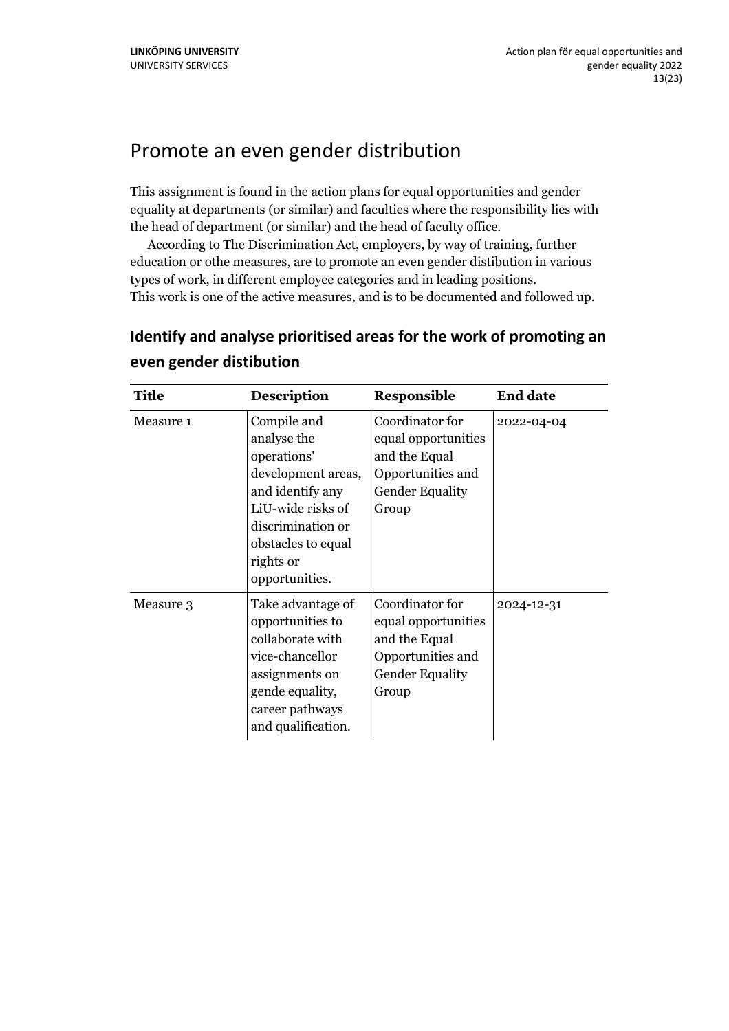### <span id="page-12-0"></span>Promote an even gender distribution

This assignment is found in the action plans for equal opportunities and gender equality at departments (or similar) and faculties where the responsibility lies with the head of department (or similar) and the head of faculty office.

According to The Discrimination Act, employers, by way of training, further education or othe measures, are to promote an even gender distibution in various types of work, in different employee categories and in leading positions. This work is one of the active measures, and is to be documented and followed up.

<span id="page-12-1"></span>**Identify and analyse prioritised areas for the work of promoting an**

| <b>Title</b> | <b>Description</b>                                                                                                                                                                 | <b>Responsible</b>                                                                                              | <b>End date</b> |
|--------------|------------------------------------------------------------------------------------------------------------------------------------------------------------------------------------|-----------------------------------------------------------------------------------------------------------------|-----------------|
| Measure 1    | Compile and<br>analyse the<br>operations'<br>development areas,<br>and identify any<br>LiU-wide risks of<br>discrimination or<br>obstacles to equal<br>rights or<br>opportunities. | Coordinator for<br>equal opportunities<br>and the Equal<br>Opportunities and<br><b>Gender Equality</b><br>Group | 2022-04-04      |
| Measure 3    | Take advantage of<br>opportunities to<br>collaborate with<br>vice-chancellor<br>assignments on<br>gende equality,<br>career pathways<br>and qualification.                         | Coordinator for<br>equal opportunities<br>and the Equal<br>Opportunities and<br><b>Gender Equality</b><br>Group | 2024-12-31      |

#### **even gender distibution**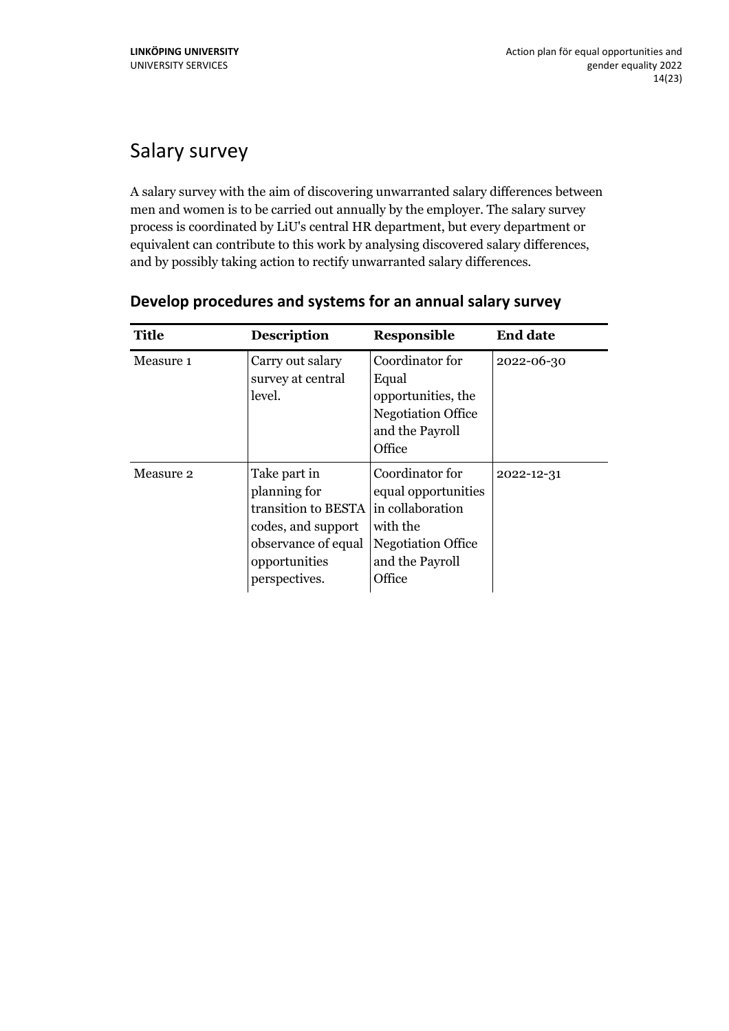# <span id="page-13-0"></span>Salary survey

A salary survey with the aim of discovering unwarranted salary differences between men and women is to be carried out annually by the employer. The salary survey process is coordinated by LiU's central HR department, but every department or equivalent can contribute to this work by analysing discovered salary differences, and by possibly taking action to rectify unwarranted salary differences.

| <b>Title</b> | <b>Description</b>                                                                                                                 | Responsible                                                                                                                      | <b>End date</b> |
|--------------|------------------------------------------------------------------------------------------------------------------------------------|----------------------------------------------------------------------------------------------------------------------------------|-----------------|
| Measure 1    | Carry out salary<br>survey at central<br>level.                                                                                    | Coordinator for<br>Equal<br>opportunities, the<br><b>Negotiation Office</b><br>and the Payroll<br>Office                         | 2022-06-30      |
| Measure 2    | Take part in<br>planning for<br>transition to BESTA<br>codes, and support<br>observance of equal<br>opportunities<br>perspectives. | Coordinator for<br>equal opportunities<br>in collaboration<br>with the<br><b>Negotiation Office</b><br>and the Payroll<br>Office | 2022-12-31      |

#### <span id="page-13-1"></span>**Develop procedures and systems for an annual salary survey**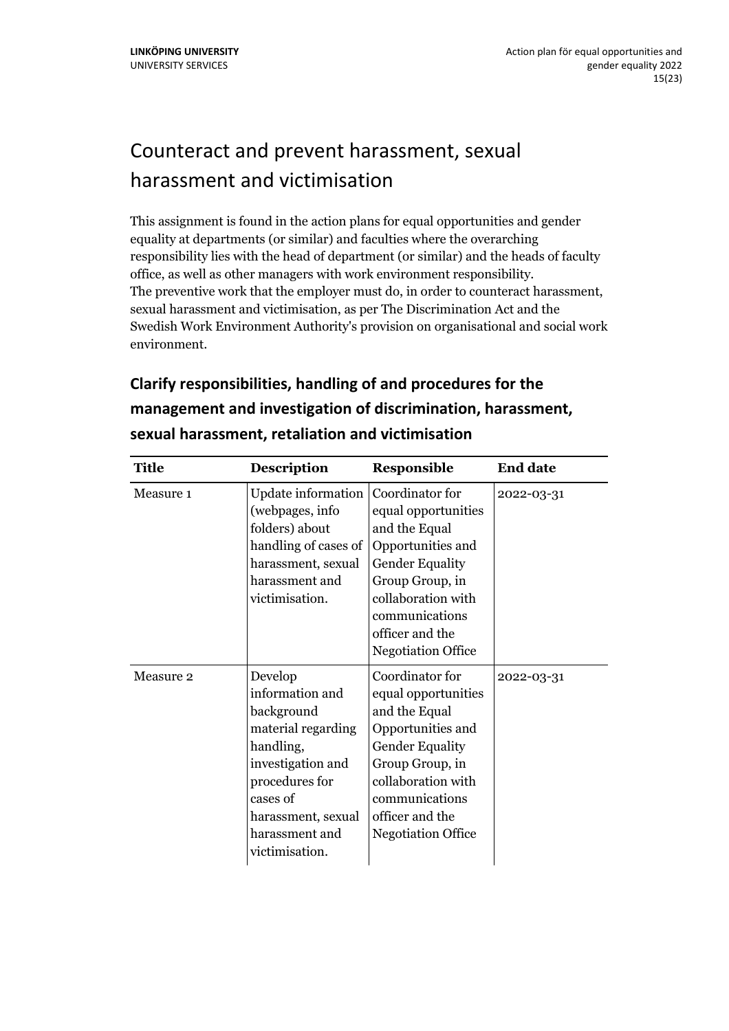# <span id="page-14-0"></span>Counteract and prevent harassment, sexual harassment and victimisation

This assignment is found in the action plans for equal opportunities and gender equality at departments (or similar) and faculties where the overarching responsibility lies with the head of department (or similar) and the heads of faculty office, as well as other managers with work environment responsibility. The preventive work that the employer must do, in order to counteract harassment, sexual harassment and victimisation, as per The Discrimination Act and the Swedish Work Environment Authority's provision on organisational and social work environment.

### <span id="page-14-1"></span>**Clarify responsibilities, handling of and procedures for the management and investigation of discrimination, harassment, sexual harassment, retaliation and victimisation**

| <b>Title</b> | <b>Description</b>                                                                                                                                                                       | <b>Responsible</b>                                                                                                                                                                                                | <b>End date</b> |
|--------------|------------------------------------------------------------------------------------------------------------------------------------------------------------------------------------------|-------------------------------------------------------------------------------------------------------------------------------------------------------------------------------------------------------------------|-----------------|
| Measure 1    | Update information<br>(webpages, info<br>folders) about<br>handling of cases of<br>harassment, sexual<br>harassment and<br>victimisation.                                                | Coordinator for<br>equal opportunities<br>and the Equal<br>Opportunities and<br><b>Gender Equality</b><br>Group Group, in<br>collaboration with<br>communications<br>officer and the<br><b>Negotiation Office</b> | 2022-03-31      |
| Measure 2    | Develop<br>information and<br>background<br>material regarding<br>handling,<br>investigation and<br>procedures for<br>cases of<br>harassment, sexual<br>harassment and<br>victimisation. | Coordinator for<br>equal opportunities<br>and the Equal<br>Opportunities and<br><b>Gender Equality</b><br>Group Group, in<br>collaboration with<br>communications<br>officer and the<br><b>Negotiation Office</b> | 2022-03-31      |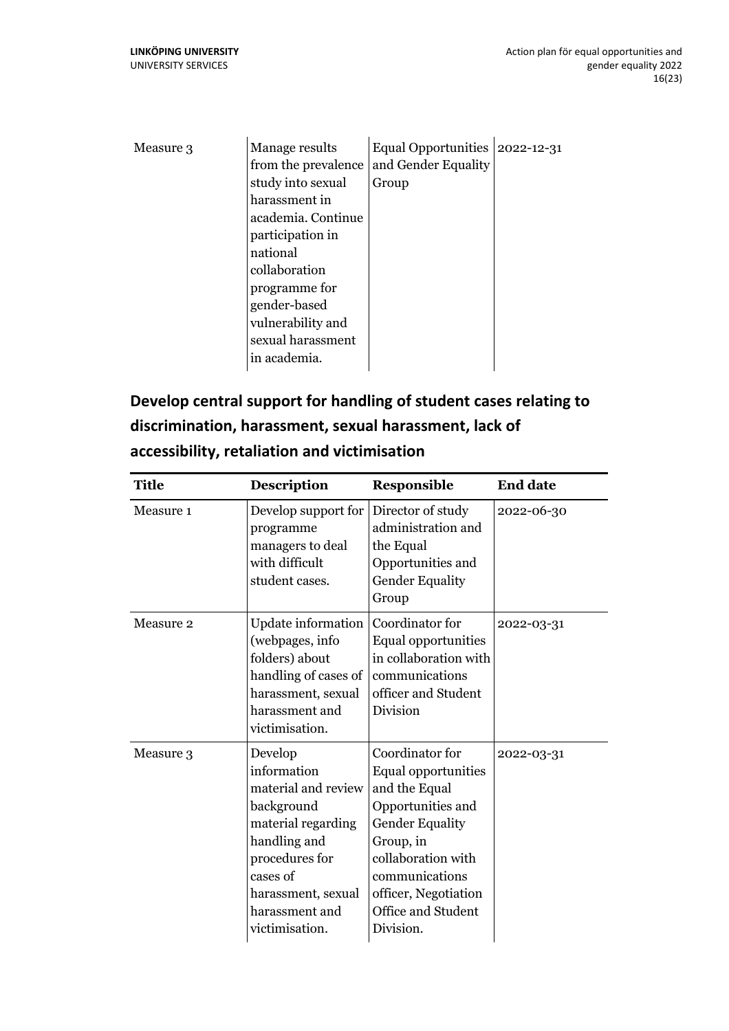| Measure 3 | Manage results      | Equal Opportunities 2022-12-31 |  |
|-----------|---------------------|--------------------------------|--|
|           | from the prevalence | and Gender Equality            |  |
|           | study into sexual   | Group                          |  |
|           | harassment in       |                                |  |
|           | academia. Continue  |                                |  |
|           | participation in    |                                |  |
|           | national            |                                |  |
|           | collaboration       |                                |  |
|           | programme for       |                                |  |
|           | gender-based        |                                |  |
|           | vulnerability and   |                                |  |
|           | sexual harassment   |                                |  |
|           | in academia.        |                                |  |

### <span id="page-15-0"></span>**Develop central support for handling of student cases relating to discrimination, harassment, sexual harassment, lack of accessibility, retaliation and victimisation**

| <b>Title</b> | <b>Description</b>                                                                                                                                                                        | <b>Responsible</b>                                                                                                                                                                                                     | <b>End date</b> |
|--------------|-------------------------------------------------------------------------------------------------------------------------------------------------------------------------------------------|------------------------------------------------------------------------------------------------------------------------------------------------------------------------------------------------------------------------|-----------------|
| Measure 1    | Develop support for<br>programme<br>managers to deal<br>with difficult<br>student cases.                                                                                                  | Director of study<br>administration and<br>the Equal<br>Opportunities and<br><b>Gender Equality</b><br>Group                                                                                                           | 2022-06-30      |
| Measure 2    | Update information<br>(webpages, info<br>folders) about<br>handling of cases of<br>harassment, sexual<br>harassment and<br>victimisation.                                                 | Coordinator for<br>Equal opportunities<br>in collaboration with<br>communications<br>officer and Student<br>Division                                                                                                   | 2022-03-31      |
| Measure 3    | Develop<br>information<br>material and review<br>background<br>material regarding<br>handling and<br>procedures for<br>cases of<br>harassment, sexual<br>harassment and<br>victimisation. | Coordinator for<br>Equal opportunities<br>and the Equal<br>Opportunities and<br><b>Gender Equality</b><br>Group, in<br>collaboration with<br>communications<br>officer, Negotiation<br>Office and Student<br>Division. | 2022-03-31      |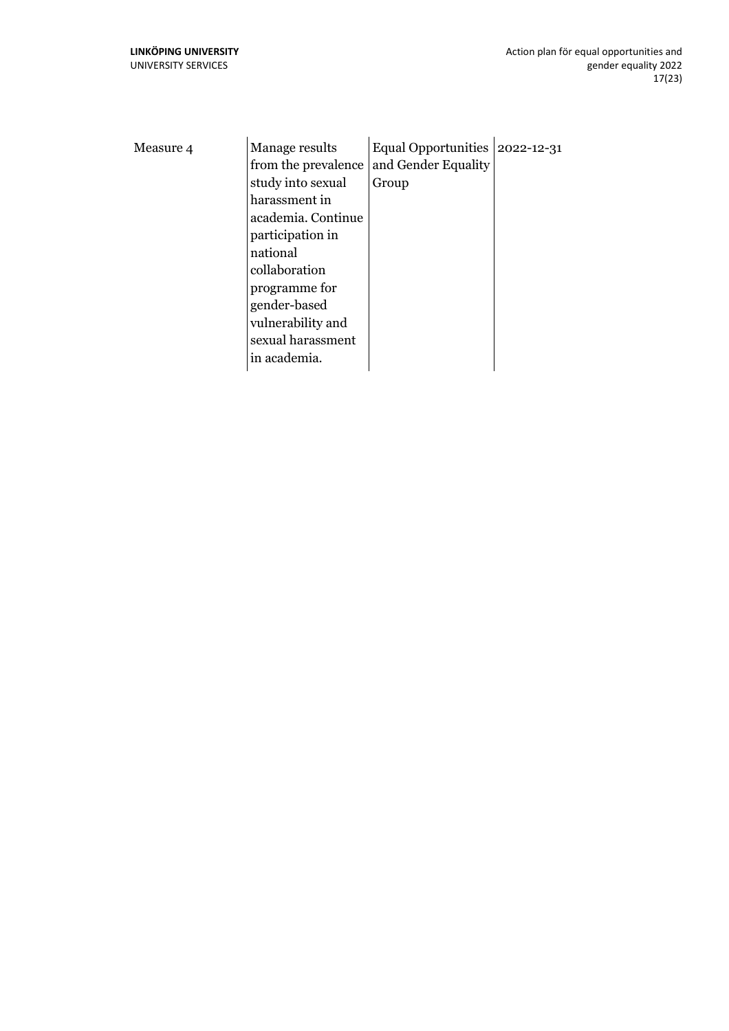| Measure 4 | Manage results      | Equal Opportunities 2022-12-31 |  |
|-----------|---------------------|--------------------------------|--|
|           | from the prevalence | and Gender Equality            |  |
|           | study into sexual   | Group                          |  |
|           | harassment in       |                                |  |
|           | academia. Continue  |                                |  |
|           | participation in    |                                |  |
|           | national            |                                |  |
|           | collaboration       |                                |  |
|           | programme for       |                                |  |
|           | gender-based        |                                |  |
|           | vulnerability and   |                                |  |
|           | sexual harassment   |                                |  |
|           | in academia.        |                                |  |
|           |                     |                                |  |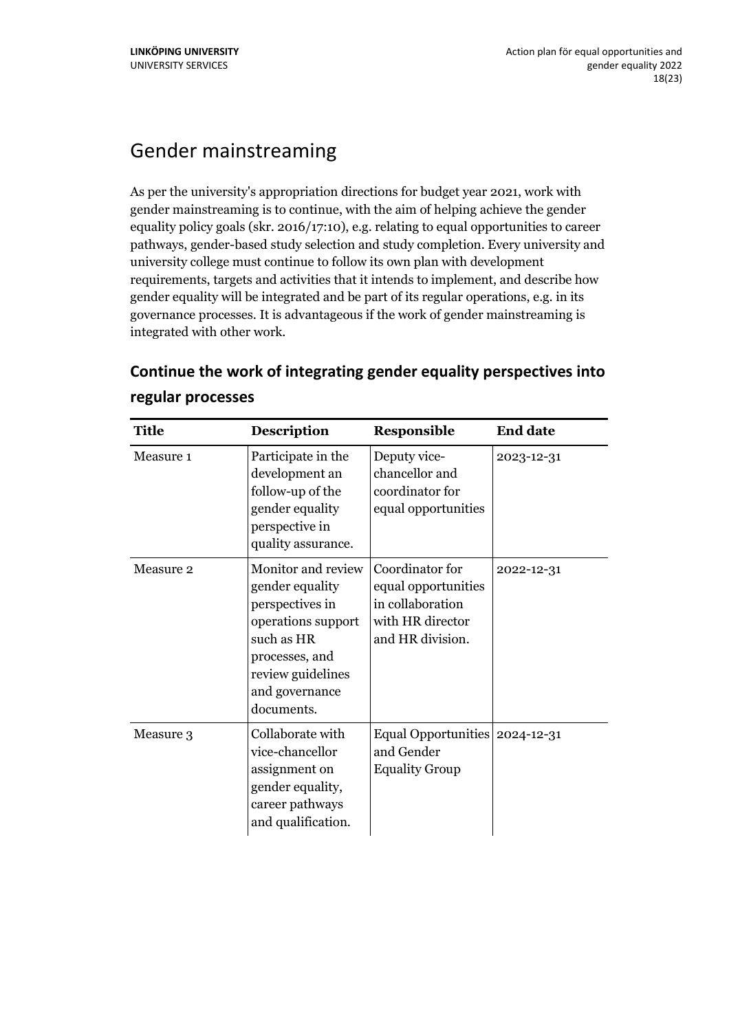### <span id="page-17-0"></span>Gender mainstreaming

As per the university's appropriation directions for budget year 2021, work with gender mainstreaming is to continue, with the aim of helping achieve the gender equality policy goals (skr. 2016/17:10), e.g. relating to equal opportunities to career pathways, gender-based study selection and study completion. Every university and university college must continue to follow its own plan with development requirements, targets and activities that it intends to implement, and describe how gender equality will be integrated and be part of its regular operations, e.g. in its governance processes. It is advantageous if the work of gender mainstreaming is integrated with other work.

| <b>Title</b> | <b>Description</b>                                                                                                                                                  | <b>Responsible</b>                                                                                 | <b>End date</b> |
|--------------|---------------------------------------------------------------------------------------------------------------------------------------------------------------------|----------------------------------------------------------------------------------------------------|-----------------|
| Measure 1    | Participate in the<br>development an<br>follow-up of the<br>gender equality<br>perspective in<br>quality assurance.                                                 | Deputy vice-<br>chancellor and<br>coordinator for<br>equal opportunities                           | 2023-12-31      |
| Measure 2    | Monitor and review<br>gender equality<br>perspectives in<br>operations support<br>such as HR<br>processes, and<br>review guidelines<br>and governance<br>documents. | Coordinator for<br>equal opportunities<br>in collaboration<br>with HR director<br>and HR division. | 2022-12-31      |
| Measure 3    | Collaborate with<br>vice-chancellor<br>assignment on<br>gender equality,<br>career pathways<br>and qualification.                                                   | Equal Opportunities   2024-12-31<br>and Gender<br><b>Equality Group</b>                            |                 |

#### <span id="page-17-1"></span>**Continue the work of integrating gender equality perspectives into regular processes**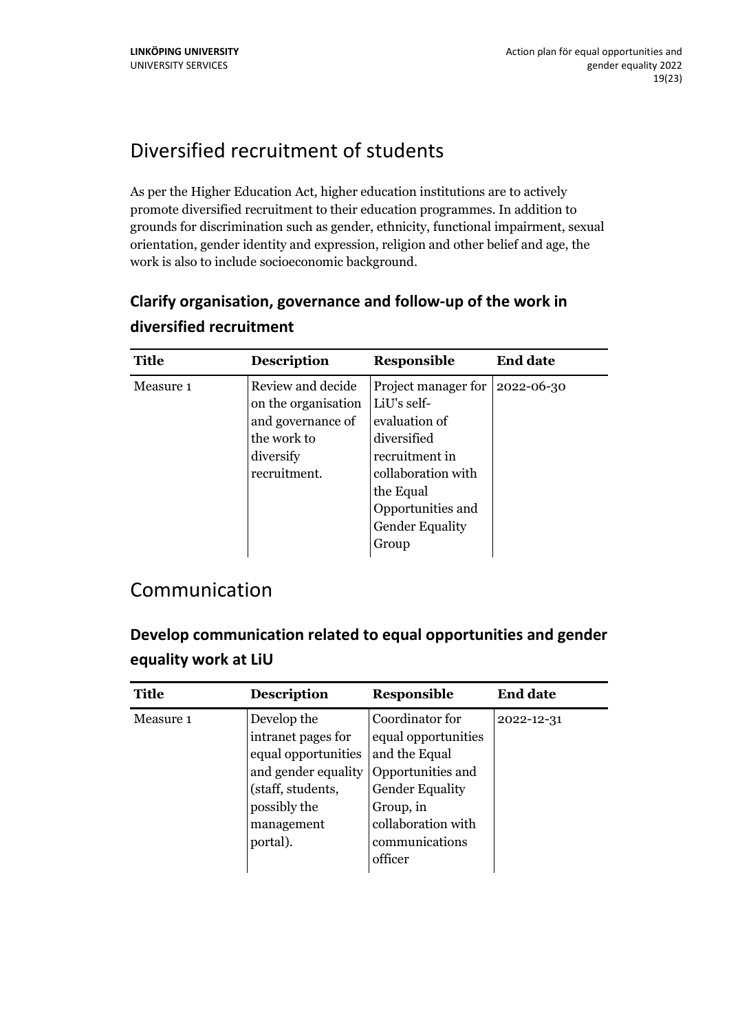# <span id="page-18-0"></span>Diversified recruitment of students

As per the Higher Education Act, higher education institutions are to actively promote diversified recruitment to their education programmes. In addition to grounds for discrimination such as gender, ethnicity, functional impairment, sexual orientation, gender identity and expression, religion and other belief and age, the work is also to include socioeconomic background.

#### <span id="page-18-1"></span>**Clarify organisation, governance and follow-up of the work in diversified recruitment**

| <b>Title</b> | <b>Description</b>                                                                                        | Responsible                                                                                                                                                                                   | <b>End date</b> |
|--------------|-----------------------------------------------------------------------------------------------------------|-----------------------------------------------------------------------------------------------------------------------------------------------------------------------------------------------|-----------------|
| Measure 1    | Review and decide<br>on the organisation<br>and governance of<br>the work to<br>diversify<br>recruitment. | Project manager for $ 2022-06-30$<br>LiU's self-<br>evaluation of<br>diversified<br>recruitment in<br>collaboration with<br>the Equal<br>Opportunities and<br><b>Gender Equality</b><br>Group |                 |

#### <span id="page-18-2"></span>Communication

<span id="page-18-3"></span>**Develop communication related to equal opportunities and gender equality work at LiU**

| <b>Title</b> | <b>Description</b>                                                                                                                             | <b>Responsible</b>                                                                                                                                                     | <b>End date</b> |
|--------------|------------------------------------------------------------------------------------------------------------------------------------------------|------------------------------------------------------------------------------------------------------------------------------------------------------------------------|-----------------|
| Measure 1    | Develop the<br>intranet pages for<br>equal opportunities<br>and gender equality<br>(staff, students,<br>possibly the<br>management<br>portal). | Coordinator for<br>equal opportunities<br>and the Equal<br>Opportunities and<br><b>Gender Equality</b><br>Group, in<br>collaboration with<br>communications<br>officer | 2022-12-31      |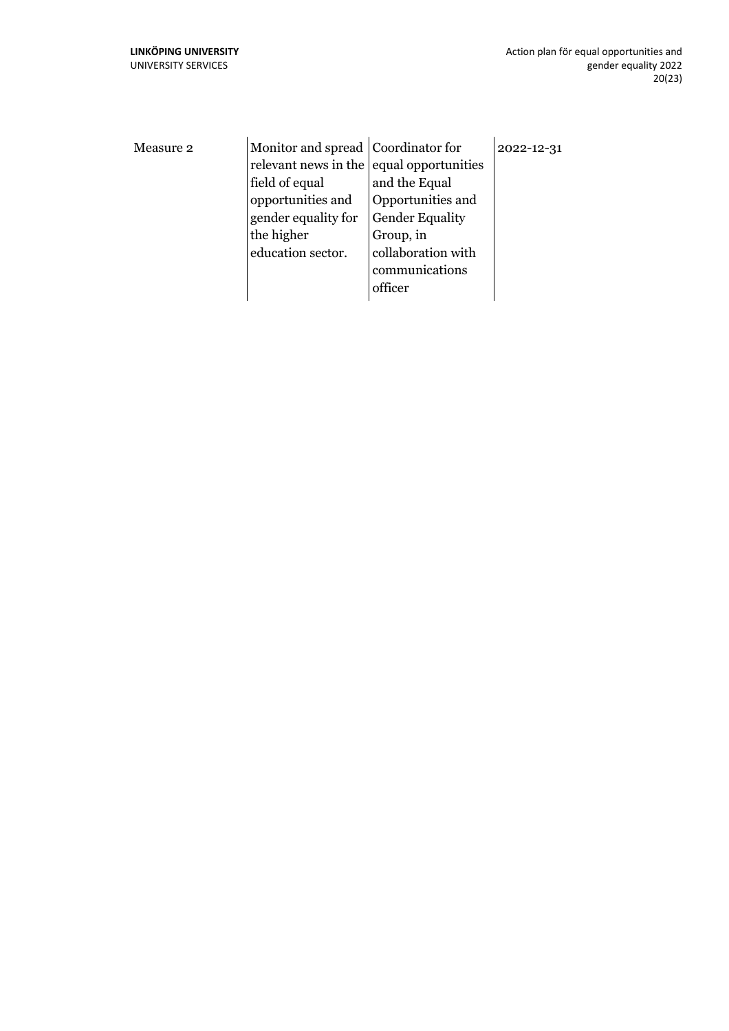| Measure 2 | Monitor and spread Coordinator for<br>relevant news in the equal opportunities<br>field of equal<br>opportunities and<br>gender equality for<br>the higher<br>education sector. | and the Equal<br>Opportunities and<br><b>Gender Equality</b><br>Group, in<br>collaboration with<br>communications<br>officer | 2022-12-31 |
|-----------|---------------------------------------------------------------------------------------------------------------------------------------------------------------------------------|------------------------------------------------------------------------------------------------------------------------------|------------|
|           |                                                                                                                                                                                 |                                                                                                                              |            |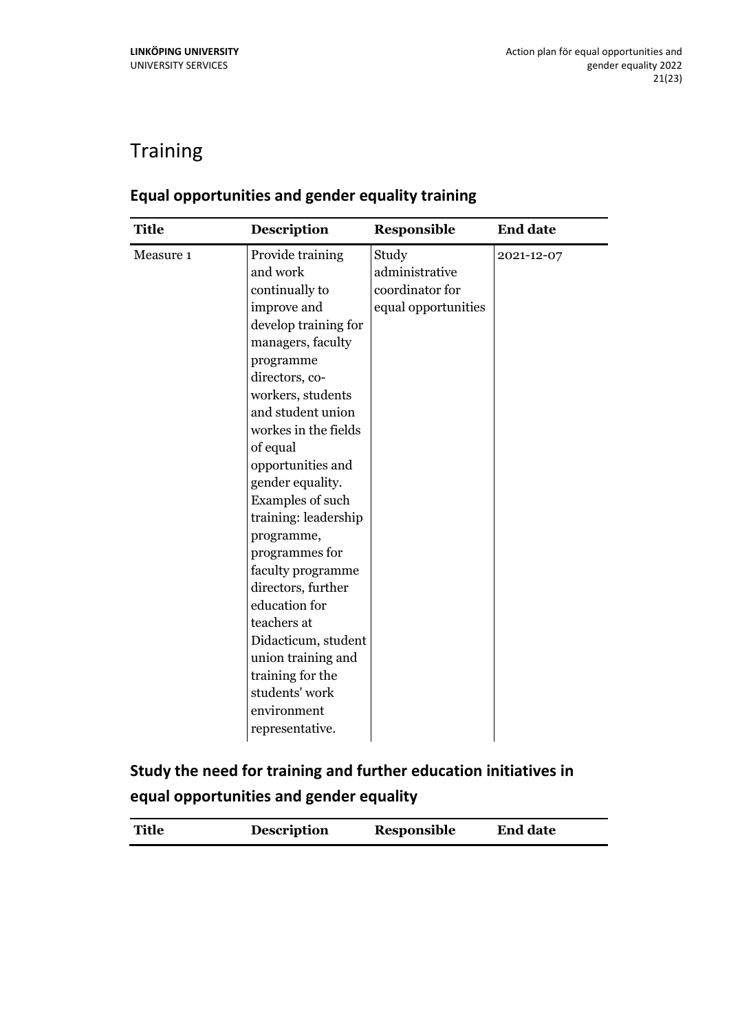## <span id="page-20-0"></span>**Training**

| <b>Title</b><br><b>Description</b><br>Responsible<br><b>End date</b>                                                                                                                                                                                                                                                                                                                                                                                                                                                                                                                                                                         |  |
|----------------------------------------------------------------------------------------------------------------------------------------------------------------------------------------------------------------------------------------------------------------------------------------------------------------------------------------------------------------------------------------------------------------------------------------------------------------------------------------------------------------------------------------------------------------------------------------------------------------------------------------------|--|
| Study<br>Measure 1<br>Provide training<br>2021-12-07<br>and work<br>administrative<br>continually to<br>coordinator for<br>equal opportunities<br>improve and<br>develop training for<br>managers, faculty<br>programme<br>directors, co-<br>workers, students<br>and student union<br>workes in the fields<br>of equal<br>opportunities and<br>gender equality.<br>Examples of such<br>training: leadership<br>programme,<br>programmes for<br>faculty programme<br>directors, further<br>education for<br>teachers at<br>Didacticum, student<br>union training and<br>training for the<br>students' work<br>environment<br>representative. |  |

#### <span id="page-20-1"></span>**Equal opportunities and gender equality training**

<span id="page-20-2"></span>**Study the need for training and further education initiatives in equal opportunities and gender equality**

| <b>Title</b> | <b>Description</b> | Responsible | <b>End date</b> |
|--------------|--------------------|-------------|-----------------|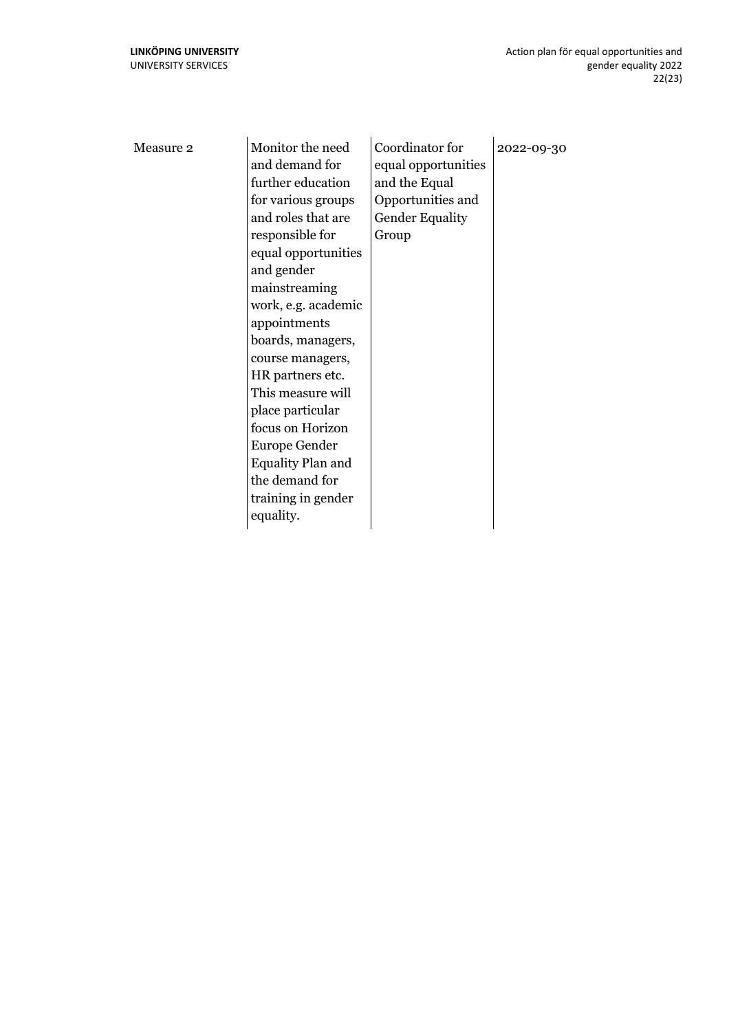| Monitor the need<br>Measure 2<br>and demand for<br>further education<br>for various groups<br>and roles that are<br>responsible for<br>equal opportunities<br>and gender<br>mainstreaming<br>work, e.g. academic<br>appointments<br>boards, managers,<br>course managers,<br>HR partners etc.<br>This measure will<br>place particular<br>focus on Horizon<br>Europe Gender<br><b>Equality Plan and</b><br>the demand for<br>training in gender<br>equality. | Coordinator for<br>equal opportunities<br>and the Equal<br>Opportunities and<br><b>Gender Equality</b><br>Group | 2022-09-30 |
|--------------------------------------------------------------------------------------------------------------------------------------------------------------------------------------------------------------------------------------------------------------------------------------------------------------------------------------------------------------------------------------------------------------------------------------------------------------|-----------------------------------------------------------------------------------------------------------------|------------|
|--------------------------------------------------------------------------------------------------------------------------------------------------------------------------------------------------------------------------------------------------------------------------------------------------------------------------------------------------------------------------------------------------------------------------------------------------------------|-----------------------------------------------------------------------------------------------------------------|------------|